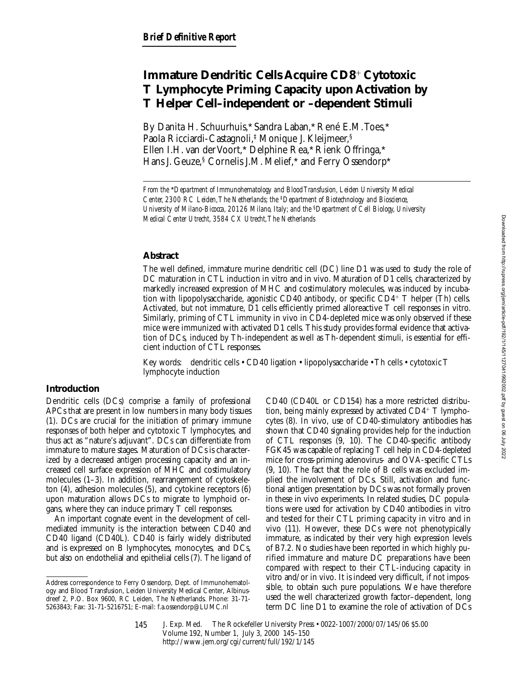# **Immature Dendritic Cells Acquire CD8<sup>+</sup> Cytotoxic T Lymphocyte Priming Capacity upon Activation by T Helper Cell–independent or –dependent Stimuli**

By Danita H. Schuurhuis,\* Sandra Laban,\* René E.M. Toes,\* Paola Ricciardi-Castagnoli,‡ Monique J. Kleijmeer,§ Ellen I.H. van der Voort,\* Delphine Rea,\* Rienk Offringa,\* Hans J. Geuze,§ Cornelis J.M. Melief,\* and Ferry Ossendorp\*

## **Abstract**

The well defined, immature murine dendritic cell (DC) line D1 was used to study the role of DC maturation in CTL induction in vitro and in vivo. Maturation of D1 cells, characterized by markedly increased expression of MHC and costimulatory molecules, was induced by incubation with lipopolysaccharide, agonistic CD40 antibody, or specific CD4<sup>1</sup> T helper (Th) cells. Activated, but not immature, D1 cells efficiently primed alloreactive T cell responses in vitro. Similarly, priming of CTL immunity in vivo in CD4-depleted mice was only observed if these mice were immunized with activated D1 cells. This study provides formal evidence that activation of DCs, induced by Th-independent as well as Th-dependent stimuli, is essential for efficient induction of CTL responses.

Key words: dendritic cells • CD40 ligation • lipopolysaccharide • Th cells • cytotoxic T lymphocyte induction

## **Introduction**

Dendritic cells (DCs) comprise a family of professional APCs that are present in low numbers in many body tissues (1). DCs are crucial for the initiation of primary immune responses of both helper and cytotoxic T lymphocytes, and thus act as "nature's adjuvant". DCs can differentiate from immature to mature stages. Maturation of DCs is characterized by a decreased antigen processing capacity and an increased cell surface expression of MHC and costimulatory molecules (1–3). In addition, rearrangement of cytoskeleton (4), adhesion molecules (5), and cytokine receptors (6) upon maturation allows DCs to migrate to lymphoid organs, where they can induce primary T cell responses.

An important cognate event in the development of cellmediated immunity is the interaction between CD40 and CD40 ligand (CD40L). CD40 is fairly widely distributed and is expressed on B lymphocytes, monocytes, and DCs, but also on endothelial and epithelial cells (7). The ligand of CD40 (CD40L or CD154) has a more restricted distribution, being mainly expressed by activated  $CD4^+$  T lymphocytes (8). In vivo, use of CD40-stimulatory antibodies has shown that CD40 signaling provides help for the induction of CTL responses (9, 10). The CD40-specific antibody FGK45 was capable of replacing T cell help in CD4-depleted mice for cross-priming adenovirus- and OVA-specific CTLs (9, 10). The fact that the role of B cells was excluded implied the involvement of DCs. Still, activation and functional antigen presentation by DCs was not formally proven in these in vivo experiments. In related studies, DC populations were used for activation by CD40 antibodies in vitro and tested for their CTL priming capacity in vitro and in vivo (11). However, these DCs were not phenotypically immature, as indicated by their very high expression levels of B7.2. No studies have been reported in which highly purified immature and mature DC preparations have been compared with respect to their CTL-inducing capacity in vitro and/or in vivo. It is indeed very difficult, if not impossible, to obtain such pure populations. We have therefore used the well characterized growth factor–dependent, long term DC line D1 to examine the role of activation of DCs

*From the* \**Department of Immunohematology and Blood Transfusion, Leiden University Medical Center, 2300 RC Leiden, The Netherlands; the* ‡*Department of Biotechnology and Bioscience, University of Milano-Bicocca, 20126 Milano, Italy; and the* §*Department of Cell Biology, University Medical Center Utrecht, 3584 CX Utrecht, The Netherlands*

Address correspondence to Ferry Ossendorp, Dept. of Immunohematology and Blood Transfusion, Leiden University Medical Center, Albinusdreef 2, P.O. Box 9600, RC Leiden, The Netherlands. Phone: 31-71- 5263843; Fax: 31-71-5216751; E-mail: f.a.ossendorp@LUMC.nl

J. Exp. Med. © The Rockefeller University Press • 0022-1007/2000/07/145/06 \$5.00 Volume 192, Number 1, July 3, 2000 145–150 http://www.jem.org/cgi/current/full/192/1/145 145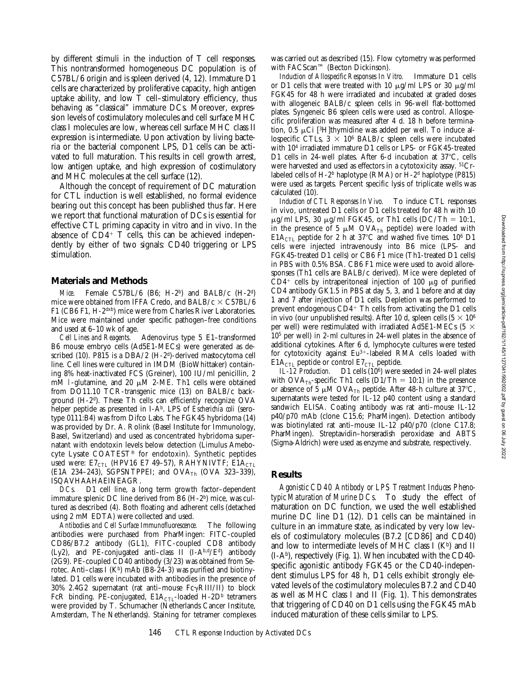by different stimuli in the induction of T cell responses. This nontransformed homogeneous DC population is of C57BL/6 origin and is spleen derived (4, 12). Immature D1 cells are characterized by proliferative capacity, high antigen uptake ability, and low  $\bar{T}$  cell–stimulatory efficiency, thus behaving as "classical" immature DCs. Moreover, expression levels of costimulatory molecules and cell surface MHC class I molecules are low, whereas cell surface MHC class II expression is intermediate. Upon activation by living bacteria or the bacterial component LPS, D1 cells can be activated to full maturation. This results in cell growth arrest, low antigen uptake, and high expression of costimulatory and MHC molecules at the cell surface (12).

Although the concept of requirement of DC maturation for CTL induction is well established, no formal evidence bearing out this concept has been published thus far. Here we report that functional maturation of DCs is essential for effective CTL priming capacity in vitro and in vivo. In the absence of  $CD4^+$  T cells, this can be achieved independently by either of two signals: CD40 triggering or LPS stimulation.

#### **Materials and Methods**

*Mice.* Female C57BL/6 (B6; H-2b) and BALB/c (H-2d) mice were obtained from IFFA Credo, and BALB/c  $\times$  C57BL/6 F1 (CB6 F1, H-2dxb) mice were from Charles River Laboratories. Mice were maintained under specific pathogen–free conditions and used at 6–10 wk of age.

*Cell Lines and Reagents.* Adenovirus type 5 E1–transformed B6 mouse embryo cells (Ad5E1-MECs) were generated as described (10). P815 is a DBA/2 (H-2d)-derived mastocytoma cell line. Cell lines were cultured in IMDM (BioWhittaker) containing 8% heat-inactivated FCS (Greiner), 100 IU/ml penicillin, 2 mM l-glutamine, and 20  $\mu$ M 2-ME. Th1 cells were obtained from DO11.10 TCR-transgenic mice (13) on BALB/c background (H-2d). These Th cells can efficiently recognize OVA helper peptide as presented in I-A<sup>b</sup>. LPS of *Escherichia coli* (serotype 0111:B4) was from Difco Labs. The FGK45 hybridoma (14) was provided by Dr. A. Rolink (Basel Institute for Immunology, Basel, Switzerland) and used as concentrated hybridoma supernatant with endotoxin levels below detection (Limulus Amebocyte Lysate COATEST® for endotoxin). Synthetic peptides used were:  $E7<sub>CTL</sub>$  (HPV16 E7 49–57), RAHYNIVTF;  $E1A<sub>CTL</sub>$ (E1A 234-243), SGPSNTPPEI; and  $OVA<sub>Th</sub>$  (OVA 323-339), ISQAVHAAHAEINEAGR.

*DCs.* D1 cell line, a long term growth factor–dependent immature splenic DC line derived from B6 (H-2b) mice, was cultured as described (4). Both floating and adherent cells (detached using 2 mM EDTA) were collected and used.

*Antibodies and Cell Surface Immunofluorescence.* The following antibodies were purchased from PharMingen: FITC-coupled CD86/B7.2 antibody (GL1), FITC-coupled CD8 antibody (Ly2), and PE-conjugated anti-class II  $(I-A<sup>b,d</sup>/E<sup>d</sup>)$  antibody (2G9). PE-coupled CD40 antibody (3/23) was obtained from Serotec. Anti-class I ( $K^b$ ) mAb (B8-24-3) was purified and biotinylated. D1 cells were incubated with antibodies in the presence of 30% 2.4G2 supernatant (rat anti-mouse  $Fc\gamma RIII/II$ ) to block FcR binding. PE-conjugated,  $E1A<sub>CTL</sub>$ -loaded H-2D<sup>b</sup> tetramers were provided by T. Schumacher (Netherlands Cancer Institute, Amsterdam, The Netherlands). Staining for tetramer complexes was carried out as described (15). Flow cytometry was performed with FACScan™ (Becton Dickinson).

*Induction of Allospecific Responses In Vitro.* Immature D1 cells or D1 cells that were treated with 10  $\mu$ g/ml LPS or 30  $\mu$ g/ml FGK45 for 48 h were irradiated and incubated at graded doses with allogeneic BALB/c spleen cells in 96-well flat-bottomed plates. Syngeneic B6 spleen cells were used as control. Allospecific proliferation was measured after 4 d. 18 h before termination,  $0.5 \mu$ Ci [<sup>3</sup>H]thymidine was added per well. To induce allospecific CTLs,  $3 \times 10^6$  BALB/c spleen cells were incubated with 104 irradiated immature D1 cells or LPS- or FGK45-treated D1 cells in 24-well plates. After 6-d incubation at  $37^{\circ}$ C, cells were harvested and used as effectors in a cytotoxicity assay. 51Crlabeled cells of H-2<sup>b</sup> haplotype (RMA) or H-2<sup>d</sup> haplotype (P815) were used as targets. Percent specific lysis of triplicate wells was calculated (10).

*Induction of CTL Responses In Vivo.* To induce CTL responses in vivo, untreated D1 cells or D1 cells treated for 48 h with 10  $\mu$ g/ml LPS, 30  $\mu$ g/ml FGK45, or Th1 cells (DC/Th = 10:1, in the presence of 5  $\mu$ M OVA<sub>Th</sub> peptide) were loaded with E1A<sub>CTL</sub> peptide for 2 h at 37°C and washed five times. 10<sup>6</sup> D1 cells were injected intravenously into B6 mice (LPS- and FGK45-treated D1 cells) or CB6 F1 mice (Th1-treated D1 cells) in PBS with 0.5% BSA. CB6 F1 mice were used to avoid alloresponses (Th1 cells are BALB/c derived). Mice were depleted of  $CD4^+$  cells by intraperitoneal injection of 100  $\mu$ g of purified CD4 antibody GK1.5 in PBS at day 5, 3, and 1 before and at day 1 and 7 after injection of D1 cells. Depletion was performed to prevent endogenous  $CD4+$  Th cells from activating the D1 cells in vivo (our unpublished results). After 10 d, spleen cells  $(5 \times 10^6)$ per well) were restimulated with irradiated Ad5E1-MECs (5  $\times$ 105 per well) in 2-ml cultures in 24-well plates in the absence of additional cytokines. After 6 d, lymphocyte cultures were tested for cytotoxicity against  $Eu^{3+}$ -labeled RMA cells loaded with  $E1A<sub>CTL</sub>$  peptide or control  $E7<sub>CTL</sub>$  peptide.

*IL-12 Production.* D1 cells (106) were seeded in 24-well plates with OVA<sub>Th</sub>-specific Th1 cells (D1/Th = 10:1) in the presence or absence of 5  $\mu$ M OVA<sub>Th</sub> peptide. After 48-h culture at 37°C, supernatants were tested for IL-12 p40 content using a standard sandwich ELISA. Coating antibody was rat anti–mouse IL-12 p40/p70 mAb (clone C15.6; PharMingen). Detection antibody was biotinylated rat anti–mouse IL-12 p40/p70 (clone C17.8; PharMingen). Streptavidin–horseradish peroxidase and ABTS (Sigma-Aldrich) were used as enzyme and substrate, respectively.

#### **Results**

*Agonistic CD40 Antibody or LPS Treatment Induces Phenotypic Maturation of Murine DCs.* To study the effect of maturation on DC function, we used the well established murine DC line D1 (12). D1 cells can be maintained in culture in an immature state, as indicated by very low levels of costimulatory molecules (B7.2 [CD86] and CD40) and low to intermediate levels of MHC class I  $(K<sup>b</sup>)$  and II (I-Ab), respectively (Fig. 1). When incubated with the CD40 specific agonistic antibody FGK45 or the CD40-independent stimulus LPS for 48 h, D1 cells exhibit strongly elevated levels of the costimulatory molecules B7.2 and CD40 as well as MHC class I and II (Fig. 1). This demonstrates that triggering of CD40 on D1 cells using the FGK45 mAb induced maturation of these cells similar to LPS.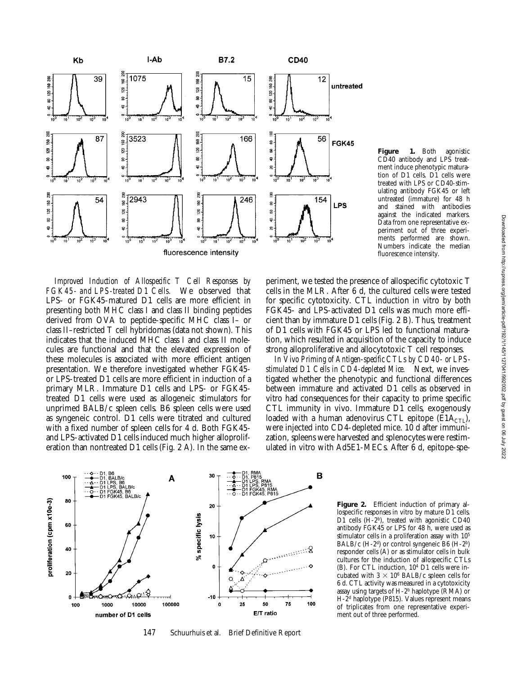

**Figure 1.** Both agonistic CD40 antibody and LPS treatment induce phenotypic maturation of D1 cells. D1 cells were treated with LPS or CD40-stimulating antibody FGK45 or left untreated (immature) for 48 h and stained with antibodies against the indicated markers. Data from one representative experiment out of three experiments performed are shown. Numbers indicate the median fluorescence intensity.

*Improved Induction of Allospecific T Cell Responses by FGK45- and LPS-treated D1 Cells.* We observed that LPS- or FGK45-matured D1 cells are more efficient in presenting both MHC class I and class II binding peptides derived from OVA to peptide-specific MHC class I– or class II–restricted T cell hybridomas (data not shown). This indicates that the induced MHC class I and class II molecules are functional and that the elevated expression of these molecules is associated with more efficient antigen presentation. We therefore investigated whether FGK45 or LPS-treated D1 cells are more efficient in induction of a primary MLR. Immature D1 cells and LPS- or FGK45 treated D1 cells were used as allogeneic stimulators for unprimed BALB/c spleen cells. B6 spleen cells were used as syngeneic control. D1 cells were titrated and cultured with a fixed number of spleen cells for 4 d. Both FGK45 and LPS-activated D1 cells induced much higher alloproliferation than nontreated D1 cells (Fig. 2 A). In the same experiment, we tested the presence of allospecific cytotoxic T cells in the MLR. After 6 d, the cultured cells were tested for specific cytotoxicity. CTL induction in vitro by both FGK45- and LPS-activated D1 cells was much more efficient than by immature D1 cells (Fig. 2 B). Thus, treatment of D1 cells with FGK45 or LPS led to functional maturation, which resulted in acquisition of the capacity to induce strong alloproliferative and allocytotoxic T cell responses.

*In Vivo Priming of Antigen-specific CTLs by CD40- or LPSstimulated D1 Cells in CD4-depleted Mice.* Next, we investigated whether the phenotypic and functional differences between immature and activated D1 cells as observed in vitro had consequences for their capacity to prime specific CTL immunity in vivo. Immature D1 cells, exogenously loaded with a human adenovirus CTL epitope ( $E1A_{CT}$ ), were injected into CD4-depleted mice. 10 d after immunization, spleens were harvested and splenocytes were restimulated in vitro with Ad5E1-MECs. After 6 d, epitope-spe-



147 Schuurhuis et al. Brief Definitive Report

**Figure 2.** Efficient induction of primary allospecific responses in vitro by mature D1 cells. D1 cells (H-2b), treated with agonistic CD40 antibody FGK45 or LPS for 48 h, were used as stimulator cells in a proliferation assay with 105 BALB/c  $(H-2<sup>d</sup>)$  or control syngeneic B6  $(H-2<sup>b</sup>)$ responder cells (A) or as stimulator cells in bulk cultures for the induction of allospecific CTLs (B). For CTL induction, 104 D1 cells were incubated with  $3 \times 10^6$  BALB/c spleen cells for 6 d. CTL activity was measured in a cytotoxicity assay using targets of  $H-2<sup>b</sup>$  haplotype (RMA) or H-2d haplotype (P815). Values represent means of triplicates from one representative experiment out of three performed.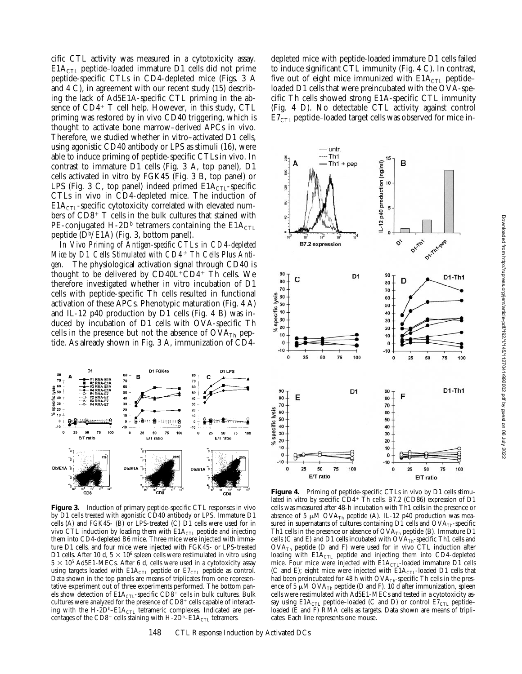cific CTL activity was measured in a cytotoxicity assay.  $E1A<sub>CTL</sub>$  peptide–loaded immature D1 cells did not prime peptide-specific CTLs in CD4-depleted mice (Figs. 3 A and 4 C), in agreement with our recent study (15) describing the lack of Ad5E1A-specific CTL priming in the absence of  $CD4^+$  T cell help. However, in this study, CTL priming was restored by in vivo CD40 triggering, which is thought to activate bone marrow–derived APCs in vivo. Therefore, we studied whether in vitro–activated D1 cells, using agonistic CD40 antibody or LPS as stimuli (16), were able to induce priming of peptide-specific CTLs in vivo. In contrast to immature D1 cells (Fig. 3 A, top panel), D1 cells activated in vitro by FGK45 (Fig. 3 B, top panel) or LPS (Fig. 3 C, top panel) indeed primed  $E1A<sub>CTL</sub>$ -specific CTLs in vivo in CD4-depleted mice. The induction of  $E1A<sub>CTL</sub>$ -specific cytotoxicity correlated with elevated numbers of  $CD8^+$  T cells in the bulk cultures that stained with PE-conjugated H-2D<sup>b</sup> tetramers containing the  $E1A_{CTL}$ peptide  $(D^b/EA)$  (Fig. 3, bottom panel).

*In Vivo Priming of Antigen-specific CTLs in CD4-depleted* Mice by D1 Cells Stimulated with CD4<sup>+</sup> Th Cells Plus Anti*gen.* The physiological activation signal through CD40 is thought to be delivered by  $CD40L^+CD4^+$  Th cells. We therefore investigated whether in vitro incubation of D1 cells with peptide-specific Th cells resulted in functional activation of these APCs. Phenotypic maturation (Fig. 4 A) and IL-12 p40 production by D1 cells (Fig. 4 B) was induced by incubation of D1 cells with OVA-specific Th cells in the presence but not the absence of  $\text{OVA}_{\text{Th}}$  peptide. As already shown in Fig. 3 A, immunization of CD4-



**Figure 3.** Induction of primary peptide-specific CTL responses in vivo by D1 cells treated with agonistic CD40 antibody or LPS. Immature D1 cells (A) and FGK45- (B) or LPS-treated (C) D1 cells were used for in vivo CTL induction by loading them with  $E1A<sub>CTL</sub>$  peptide and injecting them into CD4-depleted B6 mice. Three mice were injected with immature D1 cells, and four mice were injected with FGK45- or LPS-treated D1 cells. After 10 d,  $5 \times 10^6$  spleen cells were restimulated in vitro using  $5 \times 10^5$  Ad5E1-MECs. After 6 d, cells were used in a cytotoxicity assay using targets loaded with  $E1A_{\text{CTL}}$  peptide or  $E7_{\text{CTL}}$  peptide as control. Data shown in the top panels are means of triplicates from one representative experiment out of three experiments performed. The bottom panels show detection of  $E1A<sub>CTL</sub>$ -specific  $CD8^+$  cells in bulk cultures. Bulk cultures were analyzed for the presence of CD8<sup>+</sup> cells capable of interacting with the H-2D<sup>b</sup>–E1A<sub>CTL</sub> tetrameric complexes. Indicated are percentages of the CD8<sup>+</sup> cells staining with H-2D<sup>b</sup>–E1A<sub>CTL</sub> tetramers.

depleted mice with peptide-loaded immature D1 cells failed to induce significant CTL immunity (Fig. 4 C). In contrast, five out of eight mice immunized with  $E1A<sub>CTL</sub>$  peptideloaded D1 cells that were preincubated with the OVA-specific Th cells showed strong E1A-specific CTL immunity (Fig. 4 D). No detectable CTL activity against control  $E7<sub>CTL</sub>$  peptide–loaded target cells was observed for mice in-



Figure 4. Priming of peptide-specific CTLs in vivo by D1 cells stimulated in vitro by specific CD4+ Th cells. B7.2 (CD86) expression of D1 cells was measured after 48-h incubation with Th1 cells in the presence or absence of 5  $\mu$ M OVA<sub>Th</sub> peptide (A). IL-12 p40 production was measured in supernatants of cultures containing  $D\hat{1}$  cells and  $OVA<sub>Th</sub>$ -specific Th1 cells in the presence or absence of  $\text{OVA}_{\text{Th}}$  peptide (B). Immature D1 cells (C and E) and D1 cells incubated with  $OVA<sub>Th</sub>$ -specific Th1 cells and  $OVA<sub>Th</sub>$  peptide (D and F) were used for in vivo CTL induction after loading with  $E1A<sub>CTL</sub>$  peptide and injecting them into CD4-depleted mice. Four mice were injected with  $E1A<sub>CTL</sub>$ -loaded immature D1 cells (C and E); eight mice were injected with  $E1A_{CTL}$ -loaded D1 cells that had been preincubated for 48 h with  $OVA<sub>Th</sub>$ -specific Th cells in the presence of 5  $\mu$ M OVA<sub>Th</sub> peptide (D and F). 10 d after immunization, spleen cells were restimulated with Ad5E1-MECs and tested in a cytotoxicity assay using  $E1A_{\text{CTL}}$  peptide–loaded (C and D) or control  $E7_{\text{CTL}}$  peptide– loaded (E and F) RMA cells as targets. Data shown are means of triplicates. Each line represents one mouse.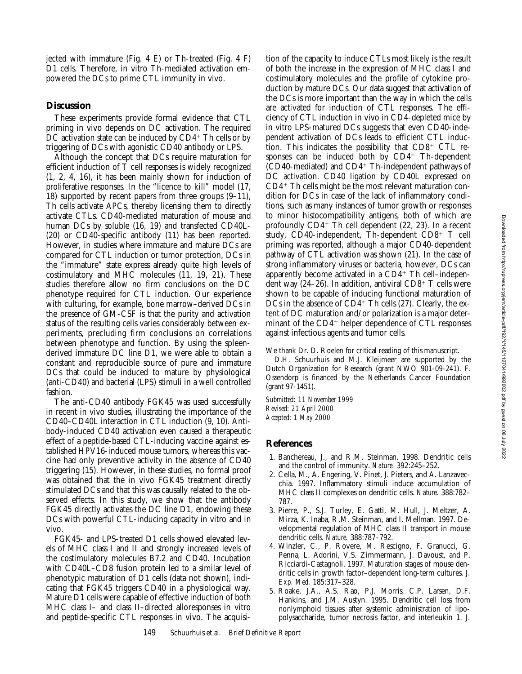jected with immature (Fig. 4 E) or Th-treated (Fig. 4 F) D1 cells. Therefore, in vitro Th-mediated activation empowered the DCs to prime CTL immunity in vivo.

### **Discussion**

These experiments provide formal evidence that CTL priming in vivo depends on DC activation. The required DC activation state can be induced by  $CD4^+$  Th cells or by triggering of DCs with agonistic CD40 antibody or LPS.

Although the concept that DCs require maturation for efficient induction of T cell responses is widely recognized (1, 2, 4, 16), it has been mainly shown for induction of proliferative responses. In the "licence to kill" model (17, 18) supported by recent papers from three groups (9–11), Th cells activate APCs, thereby licensing them to directly activate CTLs. CD40-mediated maturation of mouse and human DCs by soluble (16, 19) and transfected CD40L- (20) or CD40-specific antibody (11) has been reported. However, in studies where immature and mature DCs are compared for CTL induction or tumor protection, DCs in the "immature" state express already quite high levels of costimulatory and MHC molecules (11, 19, 21). These studies therefore allow no firm conclusions on the DC phenotype required for CTL induction. Our experience with culturing, for example, bone marrow–derived DCs in the presence of GM-CSF is that the purity and activation status of the resulting cells varies considerably between experiments, precluding firm conclusions on correlations between phenotype and function. By using the spleenderived immature DC line D1, we were able to obtain a constant and reproducible source of pure and immature DCs that could be induced to mature by physiological (anti-CD40) and bacterial (LPS) stimuli in a well controlled fashion.

The anti-CD40 antibody FGK45 was used successfully in recent in vivo studies, illustrating the importance of the CD40–CD40L interaction in CTL induction (9, 10). Antibody-induced CD40 activation even caused a therapeutic effect of a peptide-based CTL-inducing vaccine against established HPV16-induced mouse tumors, whereas this vaccine had only preventive activity in the absence of CD40 triggering (15). However, in these studies, no formal proof was obtained that the in vivo FGK45 treatment directly stimulated DCs and that this was causally related to the observed effects. In this study, we show that the antibody FGK45 directly activates the DC line D1, endowing these DCs with powerful CTL-inducing capacity in vitro and in vivo.

FGK45- and LPS-treated D1 cells showed elevated levels of MHC class I and II and strongly increased levels of the costimulatory molecules B7.2 and CD40. Incubation with CD40L–CD8 fusion protein led to a similar level of phenotypic maturation of D1 cells (data not shown), indicating that FGK45 triggers CD40 in a physiological way. Mature D1 cells were capable of effective induction of both MHC class I– and class II–directed alloresponses in vitro and peptide-specific CTL responses in vivo. The acquisition of the capacity to induce CTLs most likely is the result of both the increase in the expression of MHC class I and costimulatory molecules and the profile of cytokine production by mature DCs. Our data suggest that activation of the DCs is more important than the way in which the cells are activated for induction of CTL responses. The efficiency of CTL induction in vivo in CD4-depleted mice by in vitro LPS-matured DCs suggests that even CD40-independent activation of DCs leads to efficient CTL induction. This indicates the possibility that  $CD8<sup>+</sup>$  CTL responses can be induced both by  $CD4^+$  Th-dependent  $(CD40$ -mediated) and  $CD4$ <sup>+</sup> Th-independent pathways of DC activation. CD40 ligation by CD40L expressed on  $CD4+$  Th cells might be the most relevant maturation condition for DCs in case of the lack of inflammatory conditions, such as many instances of tumor growth or responses to minor histocompatibility antigens, both of which are profoundly  $CD4^+$  Th cell dependent (22, 23). In a recent study, CD40-independent, Th-dependent  $CD8<sup>+</sup>$  T cell priming was reported, although a major CD40-dependent pathway of CTL activation was shown (21). In the case of strong inflammatory viruses or bacteria, however, DCs can apparently become activated in a  $CD4^+$  Th cell–independent way  $(24-26)$ . In addition, antiviral CD8<sup>+</sup> T cells were shown to be capable of inducing functional maturation of DCs in the absence of  $CD4^+$  Th cells (27). Clearly, the extent of DC maturation and/or polarization is a major determinant of the  $CD4<sup>+</sup>$  helper dependence of CTL responses against infectious agents and tumor cells.

We thank Dr. D. Roelen for critical reading of this manuscript.

D.H. Schuurhuis and M.J. Kleijmeer are supported by the Dutch Organization for Research (grant NWO 901-09-241). F. Ossendorp is financed by the Netherlands Cancer Foundation (grant 97-1451).

*Submitted: 11 November 1999 Revised: 21 April 2000 Accepted: 1 May 2000*

#### **References**

- 1. Banchereau, J., and R.M. Steinman. 1998. Dendritic cells and the control of immunity. *Nature.* 392:245–252.
- 2. Cella, M., A. Engering, V. Pinet, J. Pieters, and A. Lanzavecchia. 1997. Inflammatory stimuli induce accumulation of MHC class II complexes on dendritic cells. *Nature.* 388:782– 787.
- 3. Pierre, P., S.J. Turley, E. Gatti, M. Hull, J. Meltzer, A. Mirza, K. Inaba, R.M. Steinman, and I. Mellman. 1997. Developmental regulation of MHC class II transport in mouse dendritic cells. *Nature.* 388:787–792.
- 4. Winzler, C., P. Rovere, M. Rescigno, F. Granucci, G. Penna, L. Adorini, V.S. Zimmermann, J. Davoust, and P. Ricciardi-Castagnoli. 1997. Maturation stages of mouse dendritic cells in growth factor–dependent long-term cultures. *J. Exp. Med.* 185:317–328.
- 5. Roake, J.A., A.S. Rao, P.J. Morris, C.P. Larsen, D.F. Hankins, and J.M. Austyn. 1995. Dendritic cell loss from nonlymphoid tissues after systemic administration of lipopolysaccharide, tumor necrosis factor, and interleukin 1. *J.*